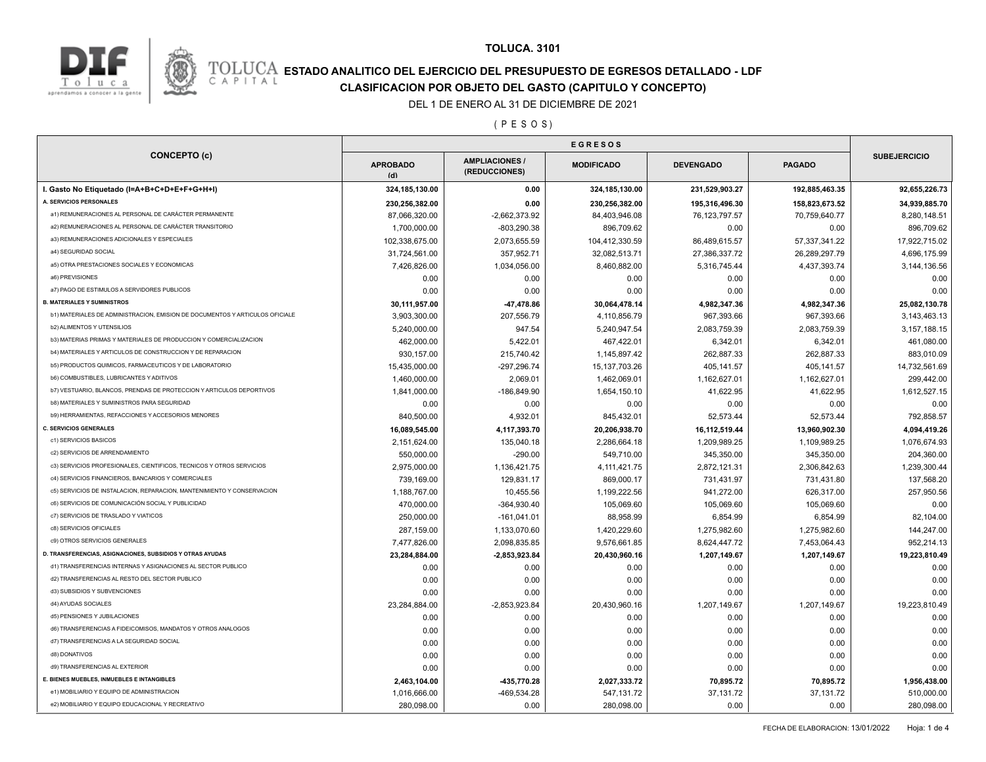

## **TOLUCA. 3101**

# **ESTADO ANALITICO DEL EJERCICIO DEL PRESUPUESTO DE EGRESOS DETALLADO - LDF**<br>CAPITAL CIASIFICACION POR OBJETO DEL GASTO (CAPITULO Y CONCEPTO) **CLASIFICACION POR OBJETO DEL GASTO (CAPITULO Y CONCEPTO)**

### DEL 1 DE ENERO AL 31 DE DICIEMBRE DE 2021

( P E S O S )

| <b>CONCEPTO (c)</b>                                                                     | <b>EGRESOS</b>               |                                        |                             |                        |                        |                     |
|-----------------------------------------------------------------------------------------|------------------------------|----------------------------------------|-----------------------------|------------------------|------------------------|---------------------|
|                                                                                         | <b>APROBADO</b><br>(d)       | <b>AMPLIACIONES /</b><br>(REDUCCIONES) | <b>MODIFICADO</b>           | <b>DEVENGADO</b>       | <b>PAGADO</b>          | <b>SUBEJERCICIO</b> |
| I. Gasto No Etiquetado (I=A+B+C+D+E+F+G+H+I)                                            | 324, 185, 130.00             | 0.00                                   | 324,185,130.00              | 231,529,903.27         | 192,885,463.35         | 92,655,226.73       |
| A. SERVICIOS PERSONALES                                                                 | 230,256,382.00               | 0.00                                   | 230,256,382.00              | 195,316,496.30         | 158,823,673.52         | 34,939,885.70       |
| a1) REMUNERACIONES AL PERSONAL DE CARÁCTER PERMANENTE                                   | 87,066,320.00                | $-2,662,373.92$                        | 84,403,946.08               | 76, 123, 797.57        | 70,759,640.77          | 8,280,148.51        |
| a2) REMUNERACIONES AL PERSONAL DE CARÁCTER TRANSITORIO                                  | 1,700,000.00                 | $-803,290.38$                          | 896,709.62                  | 0.00                   | 0.00                   | 896,709.62          |
| a3) REMUNERACIONES ADICIONALES Y ESPECIALES                                             | 102,338,675.00               | 2,073,655.59                           | 104,412,330.59              | 86,489,615.57          | 57,337,341.22          | 17,922,715.02       |
| a4) SEGURIDAD SOCIAL                                                                    | 31,724,561.00                | 357,952.71                             | 32,082,513.71               | 27,386,337.72          | 26,289,297.79          | 4,696,175.99        |
| a5) OTRA PRESTACIONES SOCIALES Y ECONOMICAS                                             | 7,426,826.00                 | 1,034,056.00                           | 8,460,882.00                | 5,316,745.44           | 4,437,393.74           | 3,144,136.56        |
| a6) PREVISIONES                                                                         | 0.00                         | 0.00                                   | 0.00                        | 0.00                   | 0.00                   | 0.00                |
| a7) PAGO DE ESTIMULOS A SERVIDORES PUBLICOS                                             | 0.00                         | 0.00                                   | 0.00                        | 0.00                   | 0.00                   | 0.00                |
| <b>B. MATERIALES Y SUMINISTROS</b>                                                      | 30,111,957.00                | 47,478.86                              | 30,064,478.14               | 4,982,347.36           | 4,982,347.36           | 25,082,130.78       |
| b1) MATERIALES DE ADMINISTRACION, EMISION DE DOCUMENTOS Y ARTICULOS OFICIALE            | 3,903,300.00                 | 207,556.79                             | 4,110,856.79                | 967,393.66             | 967,393.66             | 3,143,463.13        |
| <b>b2) ALIMENTOS Y UTENSILIOS</b>                                                       | 5,240,000.00                 | 947.54                                 | 5,240,947.54                | 2,083,759.39           | 2,083,759.39           | 3, 157, 188. 15     |
| b3) MATERIAS PRIMAS Y MATERIALES DE PRODUCCION Y COMERCIALIZACION                       | 462,000.00                   | 5,422.01                               | 467,422.01                  | 6,342.01               | 6,342.01               | 461,080.00          |
| b4) MATERIALES Y ARTICULOS DE CONSTRUCCION Y DE REPARACION                              | 930,157.00                   | 215,740.42                             | 1,145,897.42                | 262,887.33             | 262,887.33             | 883,010.09          |
| b5) PRODUCTOS QUIMICOS, FARMACEUTICOS Y DE LABORATORIO                                  | 15,435,000.00                | -297,296.74                            | 15, 137, 703. 26            | 405,141.57             | 405,141.57             | 14,732,561.69       |
| <b>b6) COMBUSTIBLES, LUBRICANTES Y ADITIVOS</b>                                         | 1,460,000.00                 | 2,069.01                               | 1,462,069.01                | 1,162,627.01           | 1,162,627.01           | 299,442.00          |
| b7) VESTUARIO, BLANCOS, PRENDAS DE PROTECCION Y ARTICULOS DEPORTIVOS                    | 1,841,000.00                 | $-186,849.90$                          | 1,654,150.10                | 41,622.95              | 41,622.95              | 1,612,527.15        |
| <b>b8) MATERIALES Y SUMINISTROS PARA SEGURIDAD</b>                                      | 0.00                         | 0.00                                   | 0.00                        | 0.00                   | 0.00                   | 0.00                |
| b9) HERRAMIENTAS, REFACCIONES Y ACCESORIOS MENORES                                      | 840,500.00                   | 4,932.01                               | 845,432.01                  | 52,573.44              | 52,573.44              | 792,858.57          |
| <b>C. SERVICIOS GENERALES</b>                                                           | 16,089,545.00                | 4,117,393.70                           | 20,206,938.70               | 16,112,519.44          | 13,960,902.30          | 4,094,419.26        |
| c1) SERVICIOS BASICOS                                                                   | 2,151,624.00                 | 135,040.18                             | 2,286,664.18                | 1,209,989.25           | 1,109,989.25           | 1,076,674.93        |
| c2) SERVICIOS DE ARRENDAMIENTO                                                          | 550,000.00                   | $-290.00$                              | 549,710.00                  | 345,350.00             | 345,350.00             | 204,360.00          |
| c3) SERVICIOS PROFESIONALES, CIENTIFICOS, TECNICOS Y OTROS SERVICIOS                    | 2,975,000.00                 | 1,136,421.75                           | 4, 111, 421. 75             | 2,872,121.31           | 2,306,842.63           | 1,239,300.44        |
| c4) SERVICIOS FINANCIEROS, BANCARIOS Y COMERCIALES                                      | 739,169.00                   | 129,831.17                             | 869,000.17                  | 731,431.97             | 731,431.80             | 137,568.20          |
| c5) SERVICIOS DE INSTALACION, REPARACION, MANTENIMIENTO Y CONSERVACION                  | 1,188,767.00                 | 10,455.56                              | 1,199,222.56                | 941,272.00             | 626,317.00             | 257,950.56          |
| c6) SERVICIOS DE COMUNICACIÓN SOCIAL Y PUBLICIDAD                                       | 470,000.00                   | $-364,930.40$                          | 105,069.60                  | 105,069.60             | 105,069.60             | 0.00                |
| c7) SERVICIOS DE TRASLADO Y VIATICOS                                                    | 250,000.00                   | $-161,041.01$                          | 88,958.99                   | 6,854.99               | 6,854.99               | 82,104.00           |
| c8) SERVICIOS OFICIALES                                                                 | 287,159.00                   | 1,133,070.60                           | 1,420,229.60                | 1,275,982.60           | 1,275,982.60           | 144,247.00          |
| c9) OTROS SERVICIOS GENERALES                                                           | 7,477,826.00                 | 2,098,835.85                           | 9,576,661.85                | 8,624,447.72           | 7,453,064.43           | 952,214.13          |
| D. TRANSFERENCIAS, ASIGNACIONES, SUBSIDIOS Y OTRAS AYUDAS                               | 23,284,884.00                | $-2,853,923.84$                        | 20,430,960.16               | 1,207,149.67           | 1,207,149.67           | 19,223,810.49       |
| d1) TRANSFERENCIAS INTERNAS Y ASIGNACIONES AL SECTOR PUBLICO                            | 0.00                         | 0.00                                   | 0.00                        | 0.00                   | 0.00                   | 0.00                |
| d2) TRANSFERENCIAS AL RESTO DEL SECTOR PUBLICO                                          | 0.00                         | 0.00                                   | 0.00                        | 0.00                   | 0.00                   | 0.00                |
| d3) SUBSIDIOS Y SUBVENCIONES                                                            | 0.00                         | 0.00                                   | 0.00                        | 0.00                   | 0.00                   | 0.00                |
| d4) AYUDAS SOCIALES                                                                     | 23,284,884.00                | $-2,853,923.84$                        | 20,430,960.16               | 1,207,149.67           | 1,207,149.67           | 19,223,810.49       |
| d5) PENSIONES Y JUBILACIONES                                                            | 0.00                         | 0.00                                   | 0.00                        | 0.00                   | 0.00                   | 0.00                |
| d6) TRANSFERENCIAS A FIDEICOMISOS, MANDATOS Y OTROS ANALOGOS                            | 0.00                         | 0.00                                   | 0.00                        | 0.00                   | 0.00                   | 0.00                |
| d7) TRANSFERENCIAS A LA SEGURIDAD SOCIAL                                                | 0.00                         | 0.00                                   | 0.00                        | 0.00                   | 0.00                   | 0.00                |
| d8) DONATIVOS                                                                           | 0.00                         | 0.00                                   | 0.00                        | 0.00                   | 0.00                   | 0.00                |
| d9) TRANSFERENCIAS AL EXTERIOR                                                          | 0.00                         | 0.00                                   | 0.00                        | 0.00                   | 0.00                   | 0.00                |
|                                                                                         |                              |                                        |                             |                        |                        | 1,956,438.00        |
|                                                                                         |                              |                                        |                             |                        |                        |                     |
| E. BIENES MUEBLES, INMUEBLES E INTANGIBLES<br>e1) MOBILIARIO Y EQUIPO DE ADMINISTRACION | 2,463,104.00<br>1,016,666.00 | -435,770.28<br>-469,534.28             | 2,027,333.72<br>547, 131.72 | 70,895.72<br>37,131.72 | 70,895.72<br>37,131.72 | 510,000.00          |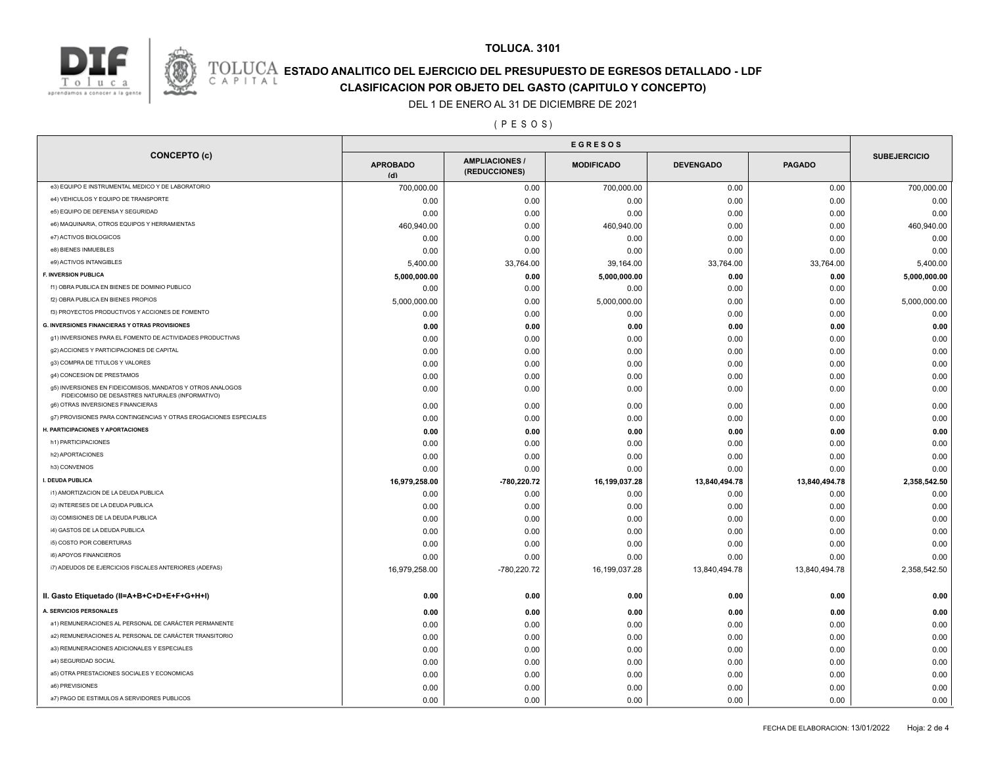



## **TOLUCA. 3101**

# **ESTADO ANALITICO DEL EJERCICIO DEL PRESUPUESTO DE EGRESOS DETALLADO - LDF**<br>CAPITAL CIASIFICACION POR OBJETO DEL GASTO (CAPITULO Y CONCEPTO) **CLASIFICACION POR OBJETO DEL GASTO (CAPITULO Y CONCEPTO)**

### DEL 1 DE ENERO AL 31 DE DICIEMBRE DE 2021

( P E S O S )

| <b>CONCEPTO (c)</b>                                                                                            | <b>APROBADO</b><br>(d) | <b>AMPLIACIONES /</b><br>(REDUCCIONES) | <b>MODIFICADO</b> | <b>DEVENGADO</b> | <b>PAGADO</b> | <b>SUBEJERCICIO</b> |
|----------------------------------------------------------------------------------------------------------------|------------------------|----------------------------------------|-------------------|------------------|---------------|---------------------|
| e3) EQUIPO E INSTRUMENTAL MEDICO Y DE LABORATORIO                                                              | 700,000.00             | 0.00                                   | 700,000.00        | 0.00             | 0.00          | 700,000.00          |
| e4) VEHICULOS Y EQUIPO DE TRANSPORTE                                                                           | 0.00                   | 0.00                                   | 0.00              | 0.00             | 0.00          | 0.00                |
| e5) EQUIPO DE DEFENSA Y SEGURIDAD                                                                              | 0.00                   | 0.00                                   | 0.00              | 0.00             | 0.00          | 0.00                |
| e6) MAQUINARIA, OTROS EQUIPOS Y HERRAMIENTAS                                                                   | 460,940.00             | 0.00                                   | 460,940.00        | 0.00             | 0.00          | 460,940.00          |
| e7) ACTIVOS BIOLOGICOS                                                                                         | 0.00                   | 0.00                                   | 0.00              | 0.00             | 0.00          | 0.00                |
| e8) BIENES INMUEBLES                                                                                           | 0.00                   | 0.00                                   | 0.00              | 0.00             | 0.00          | 0.00                |
| e9) ACTIVOS INTANGIBLES                                                                                        | 5,400.00               | 33,764.00                              | 39,164.00         | 33,764.00        | 33,764.00     | 5,400.00            |
| F. INVERSION PUBLICA                                                                                           | 5,000,000.00           | 0.00                                   | 5,000,000.00      | 0.00             | 0.00          | 5,000,000.00        |
| f1) OBRA PUBLICA EN BIENES DE DOMINIO PUBLICO                                                                  | 0.00                   | 0.00                                   | 0.00              | 0.00             | 0.00          | 0.00                |
| f2) OBRA PUBLICA EN BIENES PROPIOS                                                                             | 5,000,000.00           | 0.00                                   | 5,000,000.00      | 0.00             | 0.00          | 5,000,000.00        |
| f3) PROYECTOS PRODUCTIVOS Y ACCIONES DE FOMENTO                                                                | 0.00                   | 0.00                                   | 0.00              | 0.00             | 0.00          | 0.00                |
| G. INVERSIONES FINANCIERAS Y OTRAS PROVISIONES                                                                 | 0.00                   | 0.00                                   | 0.00              | 0.00             | 0.00          | 0.00                |
| g1) INVERSIONES PARA EL FOMENTO DE ACTIVIDADES PRODUCTIVAS                                                     | 0.00                   | 0.00                                   | 0.00              | 0.00             | 0.00          | 0.00                |
| g2) ACCIONES Y PARTICIPACIONES DE CAPITAL                                                                      | 0.00                   | 0.00                                   | 0.00              | 0.00             | 0.00          | 0.00                |
| g3) COMPRA DE TITULOS Y VALORES                                                                                | 0.00                   | 0.00                                   | 0.00              | 0.00             | 0.00          | 0.00                |
| g4) CONCESION DE PRESTAMOS                                                                                     | 0.00                   | 0.00                                   | 0.00              | 0.00             | 0.00          | 0.00                |
| g5) INVERSIONES EN FIDEICOMISOS, MANDATOS Y OTROS ANALOGOS<br>FIDEICOMISO DE DESASTRES NATURALES (INFORMATIVO) | 0.00                   | 0.00                                   | 0.00              | 0.00             | 0.00          | 0.00                |
| g6) OTRAS INVERSIONES FINANCIERAS                                                                              | 0.00                   | 0.00                                   | 0.00              | 0.00             | 0.00          | 0.00                |
| g7) PROVISIONES PARA CONTINGENCIAS Y OTRAS EROGACIONES ESPECIALES                                              | 0.00                   | 0.00                                   | 0.00              | 0.00             | 0.00          | 0.00                |
| H. PARTICIPACIONES Y APORTACIONES                                                                              | 0.00                   | 0.00                                   | 0.00              | 0.00             | 0.00          | 0.00                |
| h1) PARTICIPACIONES                                                                                            | 0.00                   | 0.00                                   | 0.00              | 0.00             | 0.00          | 0.00                |
| h2) APORTACIONES                                                                                               | 0.00                   | 0.00                                   | 0.00              | 0.00             | 0.00          | 0.00                |
| h3) CONVENIOS                                                                                                  | 0.00                   | 0.00                                   | 0.00              | 0.00             | 0.00          | 0.00                |
| I. DEUDA PUBLICA                                                                                               | 16,979,258.00          | -780,220.72                            | 16,199,037.28     | 13,840,494.78    | 13,840,494.78 | 2,358,542.50        |
| i1) AMORTIZACION DE LA DEUDA PUBLICA                                                                           | 0.00                   | 0.00                                   | 0.00              | 0.00             | 0.00          | 0.00                |
| i2) INTERESES DE LA DEUDA PUBLICA                                                                              | 0.00                   | 0.00                                   | 0.00              | 0.00             | 0.00          | 0.00                |
| i3) COMISIONES DE LA DEUDA PUBLICA                                                                             | 0.00                   | 0.00                                   | 0.00              | 0.00             | 0.00          | 0.00                |
| i4) GASTOS DE LA DEUDA PUBLICA                                                                                 | 0.00                   | 0.00                                   | 0.00              | 0.00             | 0.00          | 0.00                |
| i5) COSTO POR COBERTURAS                                                                                       | 0.00                   | 0.00                                   | 0.00              | 0.00             | 0.00          | 0.00                |
| i6) APOYOS FINANCIEROS                                                                                         | 0.00                   | 0.00                                   | 0.00              | 0.00             | 0.00          | 0.00                |
| i7) ADEUDOS DE EJERCICIOS FISCALES ANTERIORES (ADEFAS)                                                         | 16,979,258.00          | -780,220.72                            | 16,199,037.28     | 13,840,494.78    | 13,840,494.78 | 2,358,542.50        |
| II. Gasto Etiquetado (II=A+B+C+D+E+F+G+H+I)                                                                    | 0.00                   | 0.00                                   | 0.00              | 0.00             | 0.00          | 0.00                |
| A. SERVICIOS PERSONALES                                                                                        | 0.00                   | 0.00                                   | 0.00              | 0.00             | 0.00          | 0.00                |
| a1) REMUNERACIONES AL PERSONAL DE CARÁCTER PERMANENTE                                                          | 0.00                   | 0.00                                   | 0.00              | 0.00             | 0.00          | 0.00                |
| a2) REMUNERACIONES AL PERSONAL DE CARÁCTER TRANSITORIO                                                         | 0.00                   | 0.00                                   | 0.00              | 0.00             | 0.00          | 0.00                |
| a3) REMUNERACIONES ADICIONALES Y ESPECIALES                                                                    | 0.00                   | 0.00                                   | 0.00              | 0.00             | 0.00          | 0.00                |
| a4) SEGURIDAD SOCIAL                                                                                           | 0.00                   | 0.00                                   | 0.00              | 0.00             | 0.00          | 0.00                |
| a5) OTRA PRESTACIONES SOCIALES Y ECONOMICAS                                                                    | 0.00                   | 0.00                                   | 0.00              | 0.00             | 0.00          | 0.00                |
| a6) PREVISIONES                                                                                                |                        | 0.00                                   |                   | 0.00             | 0.00          | 0.00                |
|                                                                                                                | 0.00                   |                                        | 0.00              |                  |               |                     |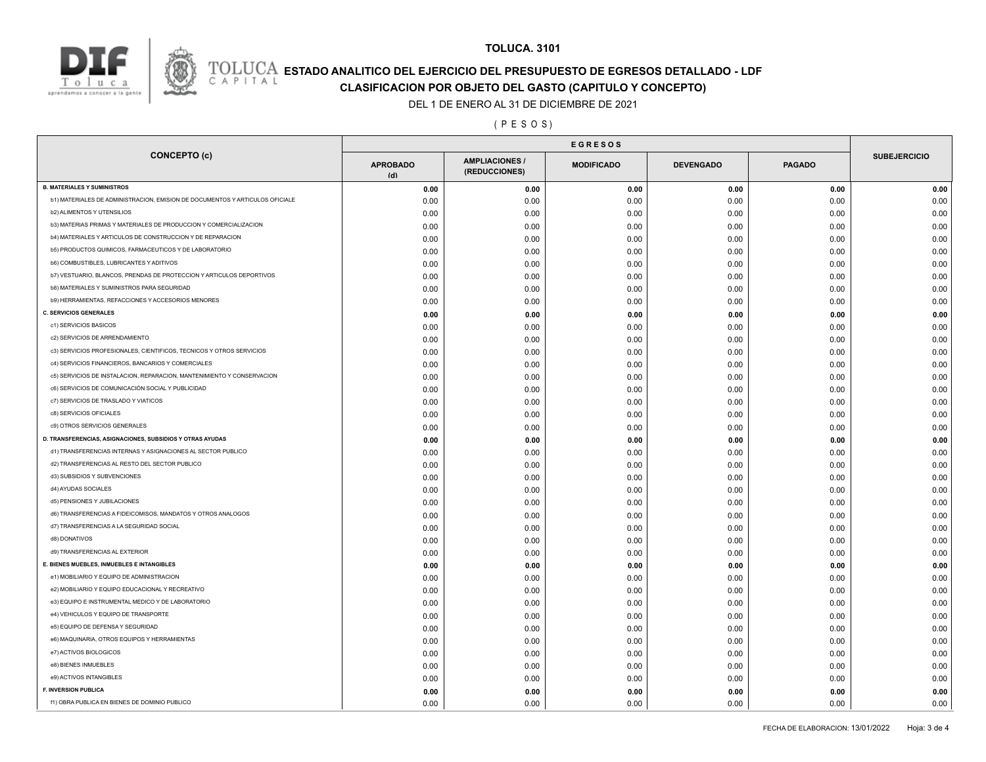

## **TOLUCA. 3101**

# **ESTADO ANALITICO DEL EJERCICIO DEL PRESUPUESTO DE EGRESOS DETALLADO - LDF**<br>CAPITAL CLASIFICACION POR OR IETO DEL GASTO (CARITILLO Y CONCERTO) **CLASIFICACION POR OBJETO DEL GASTO (CAPITULO Y CONCEPTO)**

### DEL 1 DE ENERO AL 31 DE DICIEMBRE DE 2021

### ( P E S O S )

| <b>CONCEPTO (c)</b>                                                          | <b>APROBADO</b><br>(d) | <b>AMPLIACIONES/</b><br>(REDUCCIONES) | <b>MODIFICADO</b> | <b>DEVENGADO</b> | <b>PAGADO</b> | <b>SUBEJERCICIO</b> |
|------------------------------------------------------------------------------|------------------------|---------------------------------------|-------------------|------------------|---------------|---------------------|
| <b>B. MATERIALES Y SUMINISTROS</b>                                           | 0.00                   | 0.00                                  | 0.00              | 0.00             | 0.00          | 0.00                |
| b1) MATERIALES DE ADMINISTRACION, EMISION DE DOCUMENTOS Y ARTICULOS OFICIALE | 0.00                   | 0.00                                  | 0.00              | 0.00             | 0.00          | 0.00                |
| <b>b2) ALIMENTOS Y UTENSILIOS</b>                                            | 0.00                   | 0.00                                  | 0.00              | 0.00             | 0.00          | 0.00                |
| b3) MATERIAS PRIMAS Y MATERIALES DE PRODUCCION Y COMERCIALIZACION            | 0.00                   | 0.00                                  | 0.00              | 0.00             | 0.00          | 0.00                |
| b4) MATERIALES Y ARTICULOS DE CONSTRUCCION Y DE REPARACION                   | 0.00                   | 0.00                                  | 0.00              | 0.00             | 0.00          | 0.00                |
| b5) PRODUCTOS QUIMICOS, FARMACEUTICOS Y DE LABORATORIO                       | 0.00                   | 0.00                                  | 0.00              | 0.00             | 0.00          | 0.00                |
| <b>b6) COMBUSTIBLES, LUBRICANTES Y ADITIVOS</b>                              | 0.00                   | 0.00                                  | 0.00              | 0.00             | 0.00          | 0.00                |
| b7) VESTUARIO, BLANCOS, PRENDAS DE PROTECCION Y ARTICULOS DEPORTIVOS         | 0.00                   | 0.00                                  | 0.00              | 0.00             | 0.00          | 0.00                |
| b8) MATERIALES Y SUMINISTROS PARA SEGURIDAD                                  | 0.00                   | 0.00                                  | 0.00              | 0.00             | 0.00          | 0.00                |
| b9) HERRAMIENTAS, REFACCIONES Y ACCESORIOS MENORES                           | 0.00                   | 0.00                                  | 0.00              | 0.00             | 0.00          | 0.00                |
| <b>C. SERVICIOS GENERALES</b>                                                | 0.00                   | 0.00                                  | 0.00              | 0.00             | 0.00          | 0.00                |
| c1) SERVICIOS BASICOS                                                        | 0.00                   | 0.00                                  | 0.00              | 0.00             | 0.00          | 0.00                |
| c2) SERVICIOS DE ARRENDAMIENTO                                               | 0.00                   | 0.00                                  | 0.00              | 0.00             | 0.00          | 0.00                |
| c3) SERVICIOS PROFESIONALES, CIENTIFICOS, TECNICOS Y OTROS SERVICIOS         | 0.00                   | 0.00                                  | 0.00              | 0.00             | 0.00          | 0.00                |
| c4) SERVICIOS FINANCIEROS, BANCARIOS Y COMERCIALES                           | 0.00                   | 0.00                                  | 0.00              | 0.00             | 0.00          | 0.00                |
| c5) SERVICIOS DE INSTALACION, REPARACION, MANTENIMIENTO Y CONSERVACION       | 0.00                   | 0.00                                  | 0.00              | 0.00             | 0.00          | 0.00                |
| c6) SERVICIOS DE COMUNICACIÓN SOCIAL Y PUBLICIDAD                            | 0.00                   | 0.00                                  | 0.00              | 0.00             | 0.00          | 0.00                |
| c7) SERVICIOS DE TRASLADO Y VIATICOS                                         | 0.00                   | 0.00                                  | 0.00              | 0.00             | 0.00          | 0.00                |
| c8) SERVICIOS OFICIALES                                                      | 0.00                   | 0.00                                  | 0.00              | 0.00             | 0.00          | 0.00                |
| c9) OTROS SERVICIOS GENERALES                                                | 0.00                   | 0.00                                  | 0.00              | 0.00             | 0.00          | 0.00                |
| D. TRANSFERENCIAS, ASIGNACIONES, SUBSIDIOS Y OTRAS AYUDAS                    | 0.00                   | 0.00                                  | 0.00              | 0.00             | 0.00          | 0.00                |
| d1) TRANSFERENCIAS INTERNAS Y ASIGNACIONES AL SECTOR PUBLICO                 | 0.00                   | 0.00                                  | 0.00              | 0.00             | 0.00          | 0.00                |
| d2) TRANSFERENCIAS AL RESTO DEL SECTOR PUBLICO                               | 0.00                   | 0.00                                  | 0.00              | 0.00             | 0.00          | 0.00                |
| d3) SUBSIDIOS Y SUBVENCIONES                                                 | 0.00                   | 0.00                                  | 0.00              | 0.00             | 0.00          | 0.00                |
| d4) AYUDAS SOCIALES                                                          | 0.00                   | 0.00                                  | 0.00              | 0.00             | 0.00          | 0.00                |
| d5) PENSIONES Y JUBILACIONES                                                 | 0.00                   | 0.00                                  | 0.00              | 0.00             | 0.00          | 0.00                |
| d6) TRANSFERENCIAS A FIDEICOMISOS, MANDATOS Y OTROS ANALOGOS                 | 0.00                   | 0.00                                  | 0.00              | 0.00             | 0.00          | 0.00                |
| d7) TRANSFERENCIAS A LA SEGURIDAD SOCIAL                                     | 0.00                   | 0.00                                  |                   | 0.00             | 0.00          | 0.00                |
| d8) DONATIVOS                                                                | 0.00                   |                                       | 0.00              |                  |               | 0.00                |
| d9) TRANSFERENCIAS AL EXTERIOR                                               | 0.00                   | 0.00                                  | 0.00              | 0.00             | 0.00<br>0.00  | 0.00                |
| E. BIENES MUEBLES, INMUEBLES E INTANGIBLES                                   |                        | 0.00                                  | 0.00              | 0.00             | 0.00          |                     |
| e1) MOBILIARIO Y EQUIPO DE ADMINISTRACION                                    | 0.00<br>0.00           | 0.00<br>0.00                          | 0.00              | 0.00<br>0.00     | 0.00          | 0.00<br>0.00        |
| e2) MOBILIARIO Y EQUIPO EDUCACIONAL Y RECREATIVO                             |                        |                                       | 0.00              |                  | 0.00          | 0.00                |
| e3) EQUIPO E INSTRUMENTAL MEDICO Y DE LABORATORIO                            | 0.00                   | 0.00                                  | 0.00              | 0.00             |               |                     |
| e4) VEHICULOS Y EQUIPO DE TRANSPORTE                                         | 0.00                   | 0.00                                  | 0.00              | 0.00             | 0.00          | 0.00                |
| e5) EQUIPO DE DEFENSA Y SEGURIDAD                                            | 0.00                   | 0.00                                  | 0.00              | 0.00             | 0.00          | 0.00                |
| e6) MAQUINARIA, OTROS EQUIPOS Y HERRAMIENTAS                                 | 0.00                   | 0.00                                  | 0.00              | 0.00             | 0.00          | 0.00                |
| e7) ACTIVOS BIOLOGICOS                                                       | 0.00                   | 0.00                                  | 0.00              | 0.00             | 0.00          | 0.00                |
| e8) BIENES INMUEBLES                                                         | 0.00                   | 0.00                                  | 0.00              | 0.00             | 0.00          | 0.00                |
| e9) ACTIVOS INTANGIBLES                                                      | 0.00                   | 0.00                                  | 0.00              | 0.00             | 0.00          | 0.00                |
|                                                                              | 0.00                   | 0.00                                  | 0.00              | 0.00             | 0.00          | 0.00                |
| <b>F. INVERSION PUBLICA</b>                                                  | 0.00                   | 0.00                                  | 0.00              | 0.00             | 0.00          | 0.00                |
| f1) OBRA PUBLICA EN BIENES DE DOMINIO PUBLICO                                | 0.00                   | 0.00                                  | 0.00              | 0.00             | 0.00          | 0.00                |